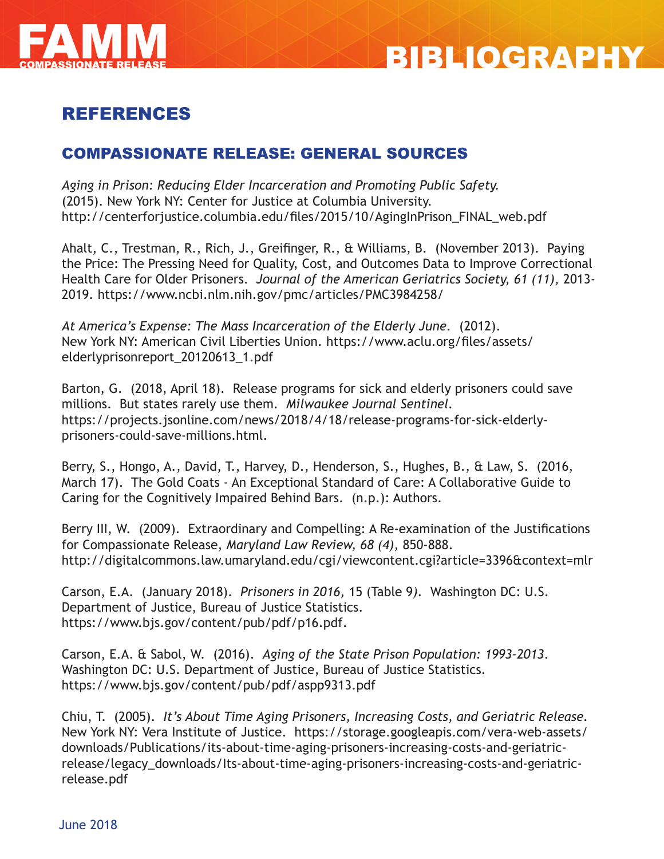



# REFERENCES

# COMPASSIONATE RELEASE: GENERAL SOURCES

*Aging in Prison: Reducing Elder Incarceration and Promoting Public Safety.*  (2015). New York NY: Center for Justice at Columbia University. http://centerforjustice.columbia.edu/files/2015/10/AgingInPrison\_FINAL\_web.pdf

Ahalt, C., Trestman, R., Rich, J., Greifinger, R., & Williams, B. (November 2013). Paying the Price: The Pressing Need for Quality, Cost, and Outcomes Data to Improve Correctional Health Care for Older Prisoners. *Journal of the American Geriatrics Society, 61 (11),* 2013- 2019*.* https://www.ncbi.nlm.nih.gov/pmc/articles/PMC3984258/

*At America's Expense: The Mass Incarceration of the Elderly June.* (2012). New York NY: American Civil Liberties Union. https://www.aclu.org/files/assets/ elderlyprisonreport\_20120613\_1.pdf

Barton, G. (2018, April 18). Release programs for sick and elderly prisoners could save millions. But states rarely use them. *Milwaukee Journal Sentinel.*  https://projects.jsonline.com/news/2018/4/18/release-programs-for-sick-elderlyprisoners-could-save-millions.html.

Berry, S., Hongo, A., David, T., Harvey, D., Henderson, S., Hughes, B., & Law, S. (2016, March 17). The Gold Coats - An Exceptional Standard of Care: A Collaborative Guide to Caring for the Cognitively Impaired Behind Bars. (n.p.): Authors.

Berry III, W. (2009). Extraordinary and Compelling: A Re-examination of the Justifications for Compassionate Release, *Maryland Law Review, 68 (4),* 850-888. http://digitalcommons.law.umaryland.edu/cgi/viewcontent.cgi?article=3396&context=mlr

Carson, E.A. (January 2018). *Prisoners in 2016,* 15 (Table 9*).* Washington DC: U.S. Department of Justice, Bureau of Justice Statistics. https://www.bjs.gov/content/pub/pdf/p16.pdf.

Carson, E.A. & Sabol, W. (2016). *Aging of the State Prison Population: 1993-2013*. Washington DC: U.S. Department of Justice, Bureau of Justice Statistics. https://www.bjs.gov/content/pub/pdf/aspp9313.pdf

Chiu, T. (2005). *It's About Time Aging Prisoners, Increasing Costs, and Geriatric Release.*  New York NY: Vera Institute of Justice. https://storage.googleapis.com/vera-web-assets/ downloads/Publications/its-about-time-aging-prisoners-increasing-costs-and-geriatricrelease/legacy\_downloads/Its-about-time-aging-prisoners-increasing-costs-and-geriatricrelease.pdf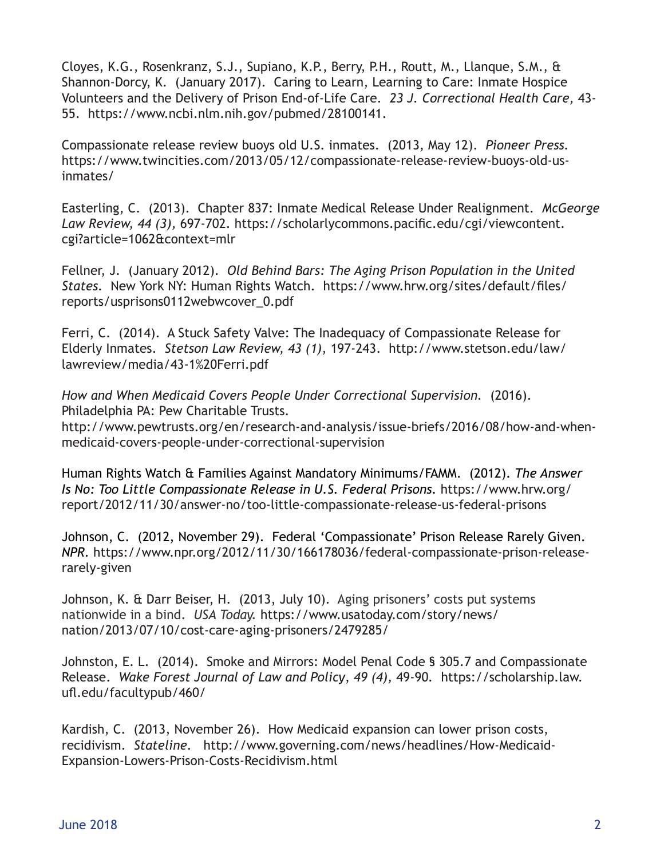Cloyes, K.G., Rosenkranz, S.J., Supiano, K.P., Berry, P.H., Routt, M., Llanque, S.M., & Shannon-Dorcy, K. (January 2017). Caring to Learn, Learning to Care: Inmate Hospice Volunteers and the Delivery of Prison End-of-Life Care. *23 J. Correctional Health Care,* 43- 55. https://www.ncbi.nlm.nih.gov/pubmed/28100141.

Compassionate release review buoys old U.S. inmates. (2013, May 12). *Pioneer Press.* https://www.twincities.com/2013/05/12/compassionate-release-review-buoys-old-usinmates/

Easterling, C. (2013). Chapter 837: Inmate Medical Release Under Realignment. *McGeorge Law Review, 44 (3),* 697-702. https://scholarlycommons.pacific.edu/cgi/viewcontent. cgi?article=1062&context=mlr

Fellner, J. (January 2012). *Old Behind Bars: The Aging Prison Population in the United States.* New York NY: Human Rights Watch. https://www.hrw.org/sites/default/files/ reports/usprisons0112webwcover\_0.pdf

Ferri, C. (2014). A Stuck Safety Valve: The Inadequacy of Compassionate Release for Elderly Inmates. *Stetson Law Review, 43 (1),* 197-243.http://www.stetson.edu/law/ lawreview/media/43-1%20Ferri.pdf

*How and When Medicaid Covers People Under Correctional Supervision.* (2016). Philadelphia PA: Pew Charitable Trusts.

http://www.pewtrusts.org/en/research-and-analysis/issue-briefs/2016/08/how-and-whenmedicaid-covers-people-under-correctional-supervision

Human Rights Watch & Families Against Mandatory Minimums/FAMM. (2012). *The Answer Is No: Too Little Compassionate Release in U.S. Federal Prisons.* https://www.hrw.org/ report/2012/11/30/answer-no/too-little-compassionate-release-us-federal-prisons

Johnson, C. (2012, November 29). Federal 'Compassionate' Prison Release Rarely Given. *NPR.* https://www.npr.org/2012/11/30/166178036/federal-compassionate-prison-releaserarely-given

Johnson, K. & Darr Beiser, H. (2013, July 10). Aging prisoners' costs put systems nationwide in a bind. *USA Today.* https://www.usatoday.com/story/news/ nation/2013/07/10/cost-care-aging-prisoners/2479285/

Johnston, E. L. (2014). Smoke and Mirrors: Model Penal Code § 305.7 and Compassionate Release. *Wake Forest Journal of Law and Policy*, *49 (4),* 49-90*.* https://scholarship.law. ufl.edu/facultypub/460/

Kardish, C. (2013, November 26). How Medicaid expansion can lower prison costs, recidivism. *Stateline.* http://www.governing.com/news/headlines/How-Medicaid-Expansion-Lowers-Prison-Costs-Recidivism.html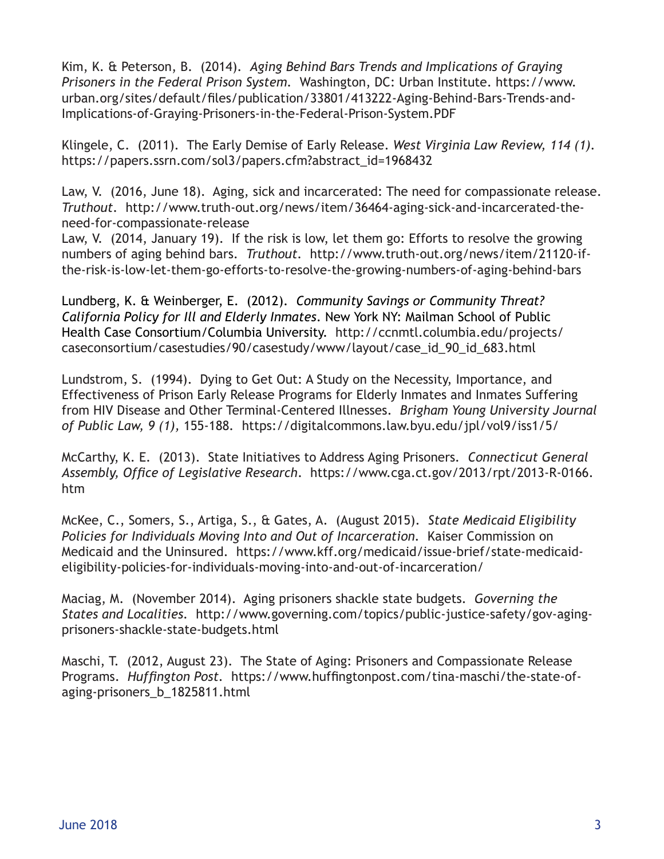Kim, K. & Peterson, B. (2014). *Aging Behind Bars Trends and Implications of Graying Prisoners in the Federal Prison System.* Washington, DC: Urban Institute. https://www. urban.org/sites/default/files/publication/33801/413222-Aging-Behind-Bars-Trends-and-Implications-of-Graying-Prisoners-in-the-Federal-Prison-System.PDF

Klingele, C. (2011). The Early Demise of Early Release. *West Virginia Law Review, 114 (1).*  https://papers.ssrn.com/sol3/papers.cfm?abstract\_id=1968432

Law, V. (2016, June 18). Aging, sick and incarcerated: The need for compassionate release. *Truthout.* http://www.truth-out.org/news/item/36464-aging-sick-and-incarcerated-theneed-for-compassionate-release

Law, V. (2014, January 19). If the risk is low, let them go: Efforts to resolve the growing numbers of aging behind bars. *Truthout.* http://www.truth-out.org/news/item/21120-ifthe-risk-is-low-let-them-go-efforts-to-resolve-the-growing-numbers-of-aging-behind-bars

Lundberg, K. & Weinberger, E. (2012). *Community Savings or Community Threat? California Policy for Ill and Elderly Inmates*. New York NY: Mailman School of Public Health Case Consortium/Columbia University. http://ccnmtl.columbia.edu/projects/ caseconsortium/casestudies/90/casestudy/www/layout/case\_id\_90\_id\_683.html

Lundstrom, S. (1994). Dying to Get Out: A Study on the Necessity, Importance, and Effectiveness of Prison Early Release Programs for Elderly Inmates and Inmates Suffering from HIV Disease and Other Terminal-Centered Illnesses. *Brigham Young University Journal of Public Law, 9 (1),* 155-188*.* https://digitalcommons.law.byu.edu/jpl/vol9/iss1/5/

McCarthy, K. E. (2013). State Initiatives to Address Aging Prisoners*. Connecticut General Assembly, Office of Legislative Research*. https://www.cga.ct.gov/2013/rpt/2013-R-0166. htm

McKee, C., Somers, S., Artiga, S., & Gates, A. (August 2015). *State Medicaid Eligibility Policies for Individuals Moving Into and Out of Incarceration.* Kaiser Commission on Medicaid and the Uninsured. https://www.kff.org/medicaid/issue-brief/state-medicaideligibility-policies-for-individuals-moving-into-and-out-of-incarceration/

Maciag, M. (November 2014). Aging prisoners shackle state budgets. *Governing the States and Localities.* http://www.governing.com/topics/public-justice-safety/gov-agingprisoners-shackle-state-budgets.html

Maschi, T. (2012, August 23). The State of Aging: Prisoners and Compassionate Release Programs. *Huffington Post.* https://www.huffingtonpost.com/tina-maschi/the-state-ofaging-prisoners\_b\_1825811.html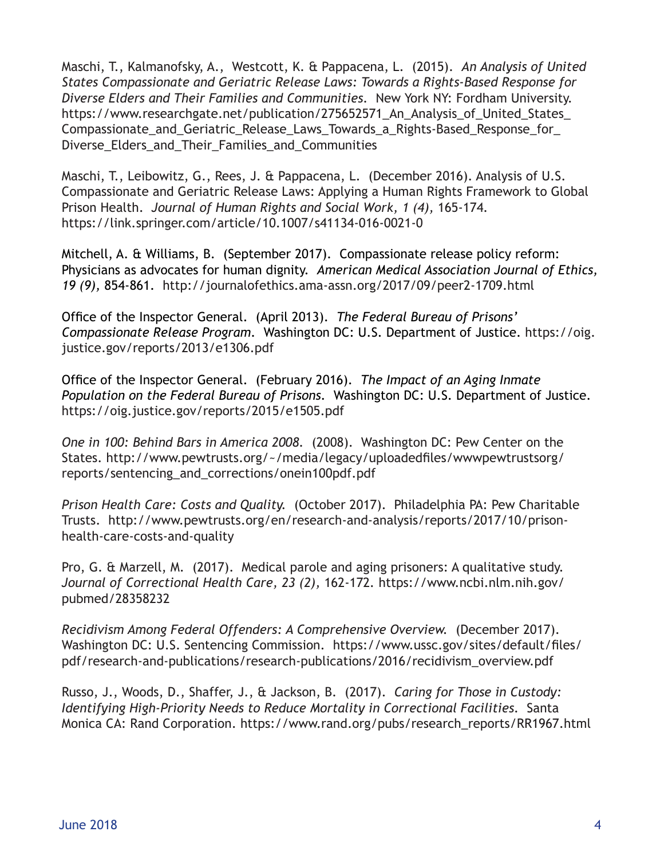Maschi, T., Kalmanofsky, A., Westcott, K. & Pappacena, L. (2015). *An Analysis of United States Compassionate and Geriatric Release Laws: Towards a Rights-Based Response for Diverse Elders and Their Families and Communities.* New York NY: Fordham University. https://www.researchgate.net/publication/275652571 An Analysis of United States Compassionate\_and\_Geriatric\_Release\_Laws\_Towards\_a\_Rights-Based\_Response\_for\_ Diverse Elders and Their Families and Communities

Maschi, T., Leibowitz, G., Rees, J. & Pappacena, L. (December 2016). Analysis of U.S. Compassionate and Geriatric Release Laws: Applying a Human Rights Framework to Global Prison Health. *Journal of Human Rights and Social Work, 1 (4),* 165-174*.*  https://link.springer.com/article/10.1007/s41134-016-0021-0

Mitchell, A. & Williams, B. (September 2017). Compassionate release policy reform: Physicians as advocates for human dignity. *American Medical Association Journal of Ethics, 19 (9),* 854-861. http://journalofethics.ama-assn.org/2017/09/peer2-1709.html

Office of the Inspector General. (April 2013). *The Federal Bureau of Prisons' Compassionate Release Program.* Washington DC: U.S. Department of Justice. https://oig. justice.gov/reports/2013/e1306.pdf

Office of the Inspector General. (February 2016). *The Impact of an Aging Inmate Population on the Federal Bureau of Prisons.* Washington DC: U.S. Department of Justice. https://oig.justice.gov/reports/2015/e1505.pdf

*One in 100: Behind Bars in America 2008.* (2008). Washington DC: Pew Center on the States. http://www.pewtrusts.org/~/media/legacy/uploadedfiles/wwwpewtrustsorg/ reports/sentencing\_and\_corrections/onein100pdf.pdf

*Prison Health Care: Costs and Quality.* (October 2017). Philadelphia PA: Pew Charitable Trusts. http://www.pewtrusts.org/en/research-and-analysis/reports/2017/10/prisonhealth-care-costs-and-quality

Pro, G. & Marzell, M. (2017). Medical parole and aging prisoners: A qualitative study. *Journal of Correctional Health Care, 23 (2),* 162-172*.* https://www.ncbi.nlm.nih.gov/ pubmed/28358232

*Recidivism Among Federal Offenders: A Comprehensive Overview.* (December 2017). Washington DC: U.S. Sentencing Commission. https://www.ussc.gov/sites/default/files/ pdf/research-and-publications/research-publications/2016/recidivism\_overview.pdf

Russo, J., Woods, D., Shaffer, J., & Jackson, B. (2017). *Caring for Those in Custody: Identifying High-Priority Needs to Reduce Mortality in Correctional Facilities.* Santa Monica CA: Rand Corporation. https://www.rand.org/pubs/research\_reports/RR1967.html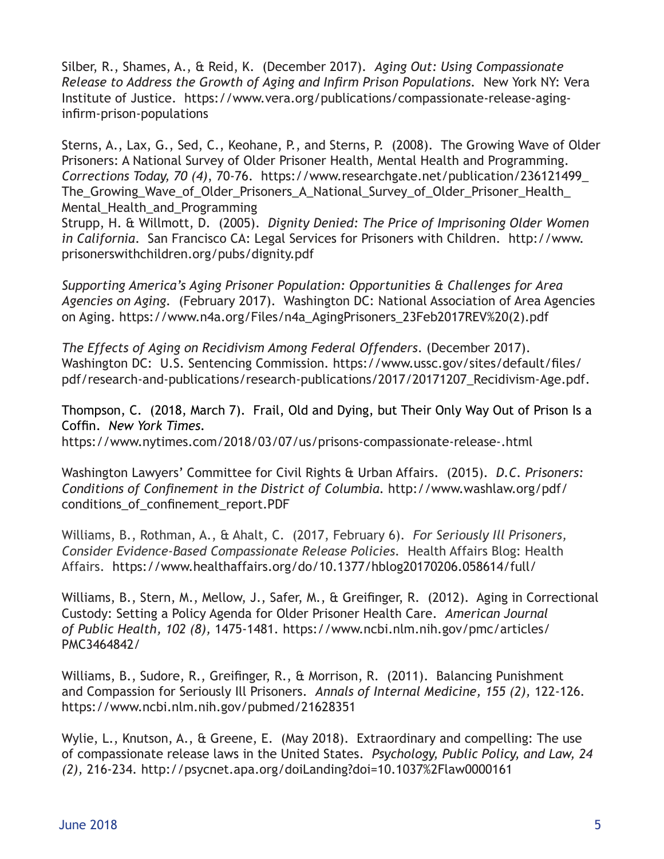Silber, R., Shames, A., & Reid, K. (December 2017). *Aging Out: Using Compassionate Release to Address the Growth of Aging and Infirm Prison Populations.* New York NY: Vera Institute of Justice. https://www.vera.org/publications/compassionate-release-aginginfirm-prison-populations

Sterns, A., Lax, G., Sed, C., Keohane, P., and Sterns, P. (2008). The Growing Wave of Older Prisoners: A National Survey of Older Prisoner Health, Mental Health and Programming. *Corrections Today, 70 (4)*, 70-76. https://www.researchgate.net/publication/236121499\_ The Growing Wave of Older Prisoners A National Survey of Older Prisoner Health Mental\_Health\_and\_Programming

Strupp, H. & Willmott, D. (2005). *Dignity Denied: The Price of Imprisoning Older Women in California*. San Francisco CA: Legal Services for Prisoners with Children. http://www. prisonerswithchildren.org/pubs/dignity.pdf

*Supporting America's Aging Prisoner Population: Opportunities & Challenges for Area Agencies on Aging.* (February 2017). Washington DC: National Association of Area Agencies on Aging. https://www.n4a.org/Files/n4a\_AgingPrisoners\_23Feb2017REV%20(2).pdf

*The Effects of Aging on Recidivism Among Federal Offenders*. (December 2017). Washington DC: U.S. Sentencing Commission. https://www.ussc.gov/sites/default/files/ pdf/research-and-publications/research-publications/2017/20171207\_Recidivism-Age.pdf.

Thompson, C. (2018, March 7). Frail, Old and Dying, but Their Only Way Out of Prison Is a Coffin. *New York Times.*  https://www.nytimes.com/2018/03/07/us/prisons-compassionate-release-.html

Washington Lawyers' Committee for Civil Rights & Urban Affairs. (2015). *D.C. Prisoners: Conditions of Confinement in the District of Columbia.* http://www.washlaw.org/pdf/ conditions\_of\_confinement\_report.PDF

Williams, B., Rothman, A., & Ahalt, C. (2017, February 6). *For Seriously Ill Prisoners, Consider Evidence-Based Compassionate Release Policies.* Health Affairs Blog: Health Affairs.https://www.healthaffairs.org/do/10.1377/hblog20170206.058614/full/

Williams, B., Stern, M., Mellow, J., Safer, M., & Greifinger, R. (2012). Aging in Correctional Custody: Setting a Policy Agenda for Older Prisoner Health Care. *American Journal of Public Health, 102 (8),* 1475-1481*.* https://www.ncbi.nlm.nih.gov/pmc/articles/ PMC3464842/

Williams, B., Sudore, R., Greifinger, R., & Morrison, R. (2011). Balancing Punishment and Compassion for Seriously Ill Prisoners. *Annals of Internal Medicine, 155 (2),* 122-126*.*  https://www.ncbi.nlm.nih.gov/pubmed/21628351

Wylie, L., Knutson, A., & Greene, E. (May 2018). Extraordinary and compelling: The use of compassionate release laws in the United States. *Psychology, Public Policy, and Law, 24 (2),* 216-234*.* http://psycnet.apa.org/doiLanding?doi=10.1037%2Flaw0000161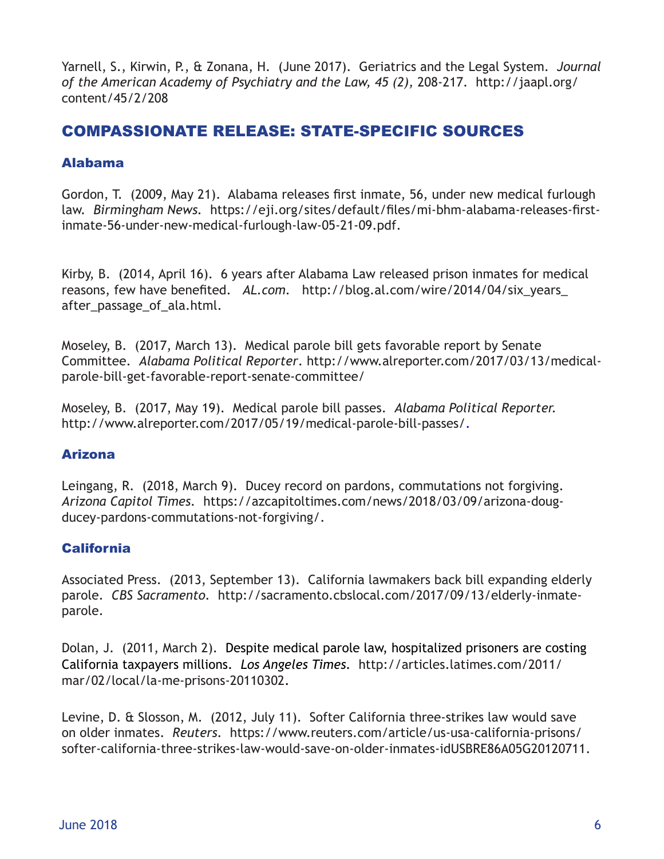Yarnell, S., Kirwin, P., & Zonana, H. (June 2017). Geriatrics and the Legal System. *Journal of the American Academy of Psychiatry and the Law, 45 (2),* 208-217. http://jaapl.org/ content/45/2/208

# COMPASSIONATE RELEASE: STATE-SPECIFIC SOURCES

# Alabama

Gordon, T. (2009, May 21). Alabama releases first inmate, 56, under new medical furlough law. *Birmingham News.* https://eji.org/sites/default/files/mi-bhm-alabama-releases-firstinmate-56-under-new-medical-furlough-law-05-21-09.pdf.

Kirby, B. (2014, April 16). 6 years after Alabama Law released prison inmates for medical reasons, few have benefited. *AL.com.* http://blog.al.com/wire/2014/04/six\_years\_ after passage of ala.html.

Moseley, B. (2017, March 13). Medical parole bill gets favorable report by Senate Committee. *Alabama Political Reporter*. http://www.alreporter.com/2017/03/13/medicalparole-bill-get-favorable-report-senate-committee/

Moseley, B. (2017, May 19). Medical parole bill passes. *Alabama Political Reporter.*  http://www.alreporter.com/2017/05/19/medical-parole-bill-passes/.

# Arizona

Leingang, R. (2018, March 9). Ducey record on pardons, commutations not forgiving. *Arizona Capitol Times.* https://azcapitoltimes.com/news/2018/03/09/arizona-dougducey-pardons-commutations-not-forgiving/.

# **California**

Associated Press. (2013, September 13). California lawmakers back bill expanding elderly parole. *CBS Sacramento.* http://sacramento.cbslocal.com/2017/09/13/elderly-inmateparole.

Dolan, J. (2011, March 2).Despite medical parole law, hospitalized prisoners are costing California taxpayers millions. *Los Angeles Times.* http://articles.latimes.com/2011/ mar/02/local/la-me-prisons-20110302.

Levine, D. & Slosson, M. (2012, July 11). Softer California three-strikes law would save on older inmates. *Reuters.* https://www.reuters.com/article/us-usa-california-prisons/ softer-california-three-strikes-law-would-save-on-older-inmates-idUSBRE86A05G20120711.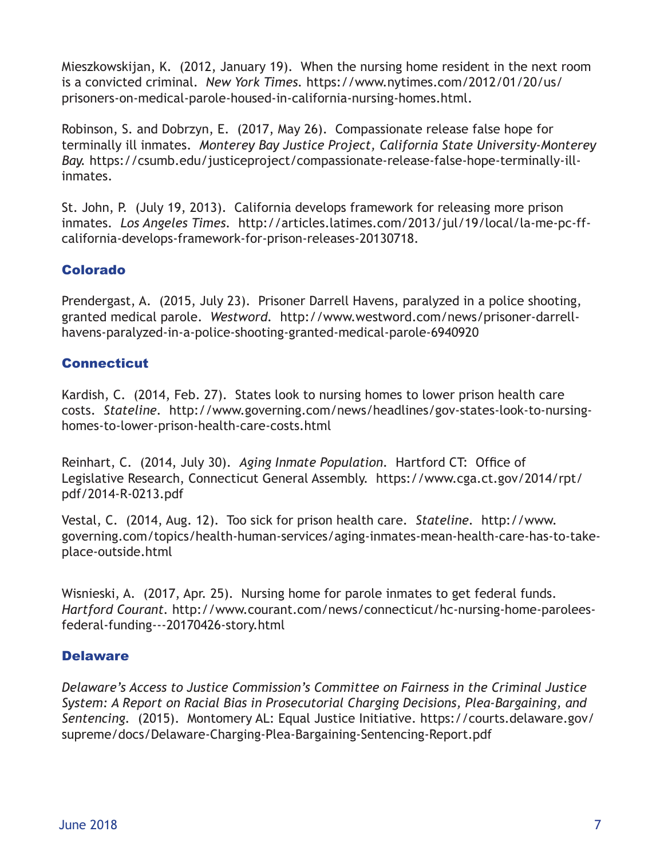Mieszkowskijan, K. (2012, January 19). When the nursing home resident in the next room is a convicted criminal. *New York Times.* https://www.nytimes.com/2012/01/20/us/ prisoners-on-medical-parole-housed-in-california-nursing-homes.html.

Robinson, S. and Dobrzyn, E. (2017, May 26). Compassionate release false hope for terminally ill inmates. *Monterey Bay Justice Project, California State University-Monterey Bay.* https://csumb.edu/justiceproject/compassionate-release-false-hope-terminally-illinmates.

St. John, P. (July 19, 2013). California develops framework for releasing more prison inmates. *Los Angeles Times.* http://articles.latimes.com/2013/jul/19/local/la-me-pc-ffcalifornia-develops-framework-for-prison-releases-20130718.

# Colorado

Prendergast, A. (2015, July 23). Prisoner Darrell Havens, paralyzed in a police shooting, granted medical parole. *Westword.* http://www.westword.com/news/prisoner-darrellhavens-paralyzed-in-a-police-shooting-granted-medical-parole-6940920

# **Connecticut**

Kardish, C. (2014, Feb. 27). States look to nursing homes to lower prison health care costs. *Stateline.* http://www.governing.com/news/headlines/gov-states-look-to-nursinghomes-to-lower-prison-health-care-costs.html

Reinhart, C. (2014, July 30). *Aging Inmate Population.* Hartford CT: Office of Legislative Research, Connecticut General Assembly. https://www.cga.ct.gov/2014/rpt/ pdf/2014-R-0213.pdf

Vestal, C. (2014, Aug. 12). Too sick for prison health care. *Stateline.* http://www. governing.com/topics/health-human-services/aging-inmates-mean-health-care-has-to-takeplace-outside.html

Wisnieski, A. (2017, Apr. 25). Nursing home for parole inmates to get federal funds. *Hartford Courant.* http://www.courant.com/news/connecticut/hc-nursing-home-paroleesfederal-funding---20170426-story.html

# **Delaware**

*Delaware's Access to Justice Commission's Committee on Fairness in the Criminal Justice System: A Report on Racial Bias in Prosecutorial Charging Decisions, Plea-Bargaining, and Sentencing.* (2015). Montomery AL: Equal Justice Initiative. https://courts.delaware.gov/ supreme/docs/Delaware-Charging-Plea-Bargaining-Sentencing-Report.pdf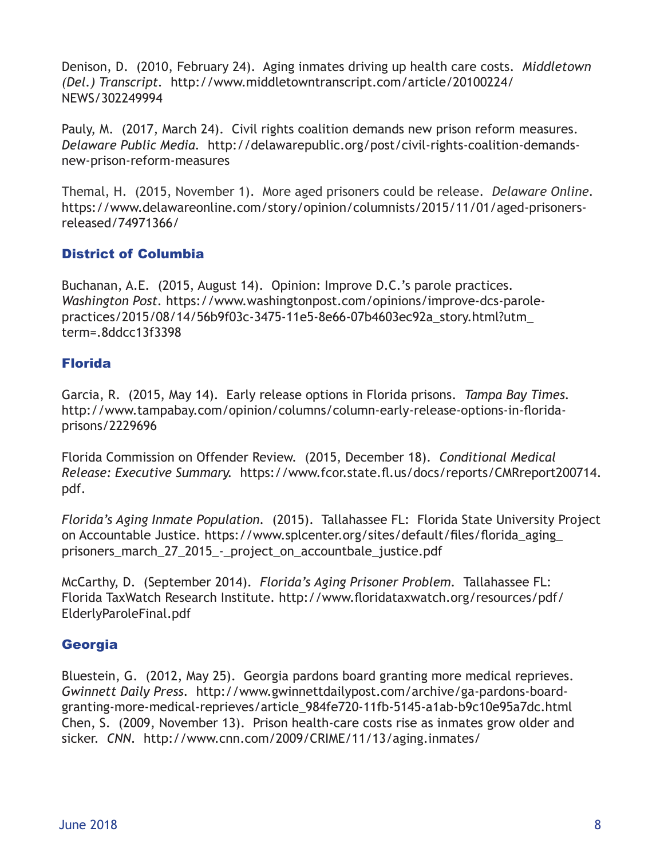Denison, D. (2010, February 24). Aging inmates driving up health care costs. *Middletown (Del.) Transcript.* http://www.middletowntranscript.com/article/20100224/ NEWS/302249994

Pauly, M. (2017, March 24). Civil rights coalition demands new prison reform measures. *Delaware Public Media.* http://delawarepublic.org/post/civil-rights-coalition-demandsnew-prison-reform-measures

Themal, H. (2015, November 1). More aged prisoners could be release. *Delaware Online.*  https://www.delawareonline.com/story/opinion/columnists/2015/11/01/aged-prisonersreleased/74971366/

# District of Columbia

Buchanan, A.E. (2015, August 14). Opinion: Improve D.C.'s parole practices. *Washington Post.* https://www.washingtonpost.com/opinions/improve-dcs-parolepractices/2015/08/14/56b9f03c-3475-11e5-8e66-07b4603ec92a\_story.html?utm\_ term=.8ddcc13f3398

# Florida

Garcia, R. (2015, May 14). Early release options in Florida prisons. *Tampa Bay Times.*  http://www.tampabay.com/opinion/columns/column-early-release-options-in-floridaprisons/2229696

Florida Commission on Offender Review. (2015, December 18). *Conditional Medical Release: Executive Summary.* https://www.fcor.state.fl.us/docs/reports/CMRreport200714. pdf.

*Florida's Aging Inmate Population.* (2015). Tallahassee FL: Florida State University Project on Accountable Justice. https://www.splcenter.org/sites/default/files/florida\_aging\_ prisoners march 27 2015 - project on accountbale justice.pdf

McCarthy, D. (September 2014). *Florida's Aging Prisoner Problem.* Tallahassee FL: Florida TaxWatch Research Institute. http://www.floridataxwatch.org/resources/pdf/ ElderlyParoleFinal.pdf

# Georgia

Bluestein, G. (2012, May 25). Georgia pardons board granting more medical reprieves. *Gwinnett Daily Press.* http://www.gwinnettdailypost.com/archive/ga-pardons-boardgranting-more-medical-reprieves/article\_984fe720-11fb-5145-a1ab-b9c10e95a7dc.html Chen, S. (2009, November 13). Prison health-care costs rise as inmates grow older and sicker. *CNN.* http://www.cnn.com/2009/CRIME/11/13/aging.inmates/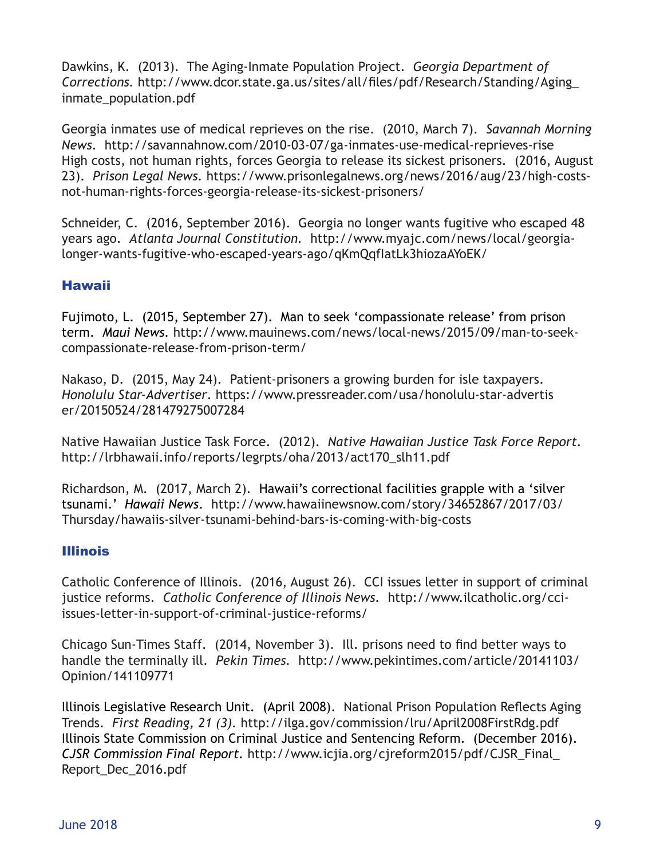Dawkins, K. (2013). The Aging-Inmate Population Project. *Georgia Department of Corrections.* http://www.dcor.state.ga.us/sites/all/files/pdf/Research/Standing/Aging\_ inmate\_population.pdf

Georgia inmates use of medical reprieves on the rise. (2010, March 7). *Savannah Morning News.* http://savannahnow.com/2010-03-07/ga-inmates-use-medical-reprieves-rise High costs, not human rights, forces Georgia to release its sickest prisoners. (2016, August 23). *Prison Legal News.* https://www.prisonlegalnews.org/news/2016/aug/23/high-costsnot-human-rights-forces-georgia-release-its-sickest-prisoners/

Schneider, C. (2016, September 2016). Georgia no longer wants fugitive who escaped 48 years ago. *Atlanta Journal Constitution.* http://www.myajc.com/news/local/georgialonger-wants-fugitive-who-escaped-years-ago/qKmQqfIatLk3hiozaAYoEK/

# Hawaii

Fujimoto, L. (2015, September 27). Man to seek 'compassionate release' from prison term. *Maui News.* http://www.mauinews.com/news/local-news/2015/09/man-to-seekcompassionate-release-from-prison-term/

Nakaso, D. (2015, May 24). Patient-prisoners a growing burden for isle taxpayers. *Honolulu Star-Advertiser*. https://www.pressreader.com/usa/honolulu-star-advertis er/20150524/281479275007284

Native Hawaiian Justice Task Force. (2012). *Native Hawaiian Justice Task Force Report.* http://lrbhawaii.info/reports/legrpts/oha/2013/act170\_slh11.pdf

Richardson, M. (2017, March 2). Hawaii's correctional facilities grapple with a 'silver tsunami.' *Hawaii News*. http://www.hawaiinewsnow.com/story/34652867/2017/03/ Thursday/hawaiis-silver-tsunami-behind-bars-is-coming-with-big-costs

# Illinois

Catholic Conference of Illinois. (2016, August 26). CCI issues letter in support of criminal justice reforms. *Catholic Conference of Illinois News.* http://www.ilcatholic.org/cciissues-letter-in-support-of-criminal-justice-reforms/

Chicago Sun-Times Staff. (2014, November 3). Ill. prisons need to find better ways to handle the terminally ill. *Pekin Times.* http://www.pekintimes.com/article/20141103/ Opinion/141109771

Illinois Legislative Research Unit. (April 2008). National Prison Population Reflects Aging Trends. *First Reading, 21 (3).* http://ilga.gov/commission/lru/April2008FirstRdg.pdf Illinois State Commission on Criminal Justice and Sentencing Reform. (December 2016). *CJSR Commission Final Report.* http://www.icjia.org/cjreform2015/pdf/CJSR\_Final\_ Report\_Dec\_2016.pdf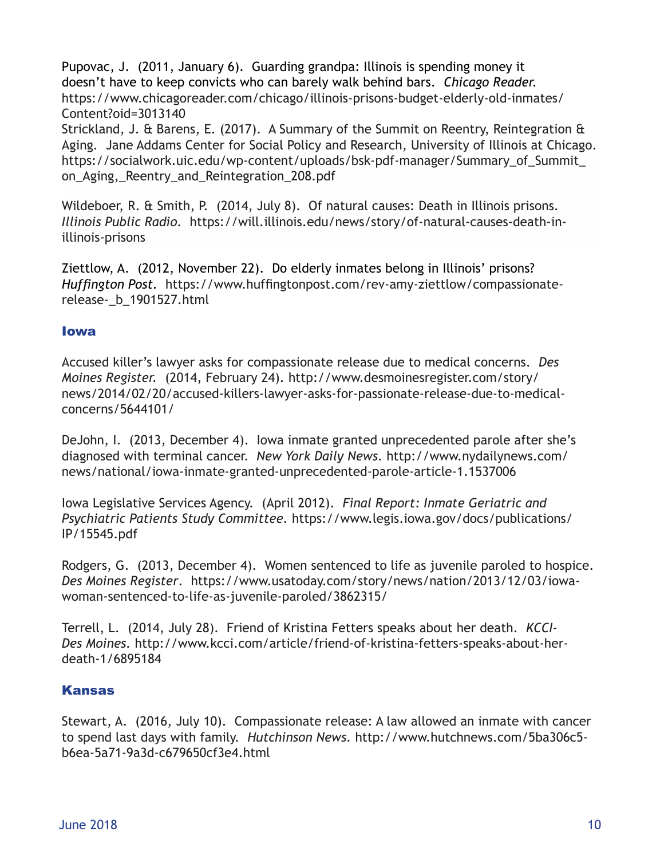Pupovac, J. (2011, January 6). Guarding grandpa: Illinois is spending money it doesn't have to keep convicts who can barely walk behind bars. *Chicago Reader.*  https://www.chicagoreader.com/chicago/illinois-prisons-budget-elderly-old-inmates/ Content?oid=3013140

Strickland, J. & Barens, E. (2017). A Summary of the Summit on Reentry, Reintegration & Aging*.* Jane Addams Center for Social Policy and Research, University of Illinois at Chicago. https://socialwork.uic.edu/wp-content/uploads/bsk-pdf-manager/Summary\_of\_Summit\_ on Aging, Reentry and Reintegration 208.pdf

Wildeboer, R. & Smith, P. (2014, July 8). Of natural causes: Death in Illinois prisons. *Illinois Public Radio.* https://will.illinois.edu/news/story/of-natural-causes-death-inillinois-prisons

Ziettlow, A. (2012, November 22). Do elderly inmates belong in Illinois' prisons? *Huffington Post.* https://www.huffingtonpost.com/rev-amy-ziettlow/compassionaterelease-\_b\_1901527.html

#### Iowa

Accused killer's lawyer asks for compassionate release due to medical concerns. *Des Moines Register.* (2014, February 24). http://www.desmoinesregister.com/story/ news/2014/02/20/accused-killers-lawyer-asks-for-passionate-release-due-to-medicalconcerns/5644101/

DeJohn, I. (2013, December 4). Iowa inmate granted unprecedented parole after she's diagnosed with terminal cancer. *New York Daily News*. http://www.nydailynews.com/ news/national/iowa-inmate-granted-unprecedented-parole-article-1.1537006

Iowa Legislative Services Agency. (April 2012). *Final Report: Inmate Geriatric and Psychiatric Patients Study Committee.* https://www.legis.iowa.gov/docs/publications/ IP/15545.pdf

Rodgers, G. (2013, December 4). Women sentenced to life as juvenile paroled to hospice. *Des Moines Register*. https://www.usatoday.com/story/news/nation/2013/12/03/iowawoman-sentenced-to-life-as-juvenile-paroled/3862315/

Terrell, L. (2014, July 28). Friend of Kristina Fetters speaks about her death. *KCCI-Des Moines.* http://www.kcci.com/article/friend-of-kristina-fetters-speaks-about-herdeath-1/6895184

# Kansas

Stewart, A. (2016, July 10). Compassionate release: A law allowed an inmate with cancer to spend last days with family. *Hutchinson News.* http://www.hutchnews.com/5ba306c5 b6ea-5a71-9a3d-c679650cf3e4.html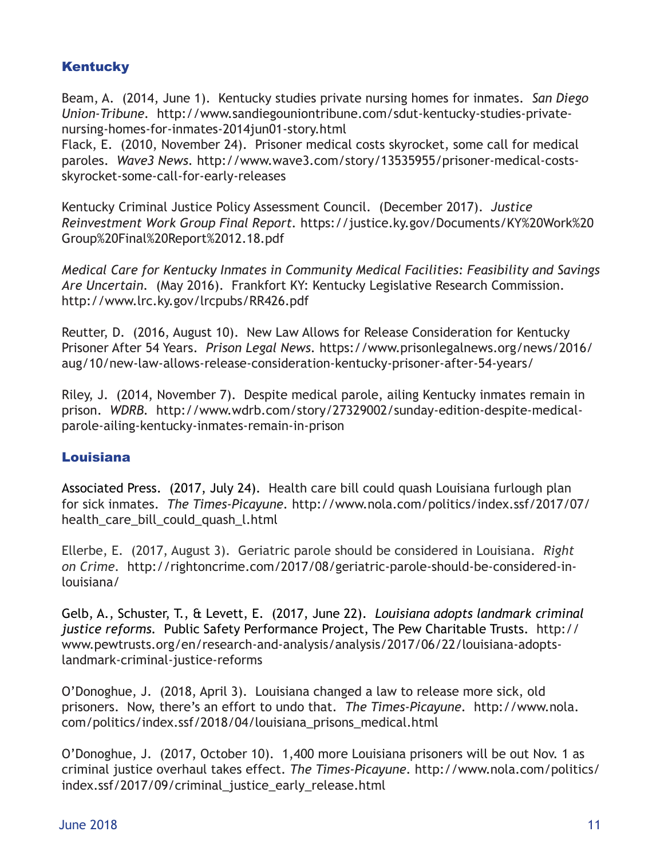# **Kentucky**

Beam, A. (2014, June 1). Kentucky studies private nursing homes for inmates. *San Diego Union-Tribune.* http://www.sandiegouniontribune.com/sdut-kentucky-studies-privatenursing-homes-for-inmates-2014jun01-story.html

Flack, E. (2010, November 24). Prisoner medical costs skyrocket, some call for medical paroles. *Wave3 News.* http://www.wave3.com/story/13535955/prisoner-medical-costsskyrocket-some-call-for-early-releases

Kentucky Criminal Justice Policy Assessment Council. (December 2017). *Justice Reinvestment Work Group Final Report.* https://justice.ky.gov/Documents/KY%20Work%20 Group%20Final%20Report%2012.18.pdf

*Medical Care for Kentucky Inmates in Community Medical Facilities: Feasibility and Savings Are Uncertain.* (May 2016). Frankfort KY: Kentucky Legislative Research Commission. http://www.lrc.ky.gov/lrcpubs/RR426.pdf

Reutter, D. (2016, August 10). New Law Allows for Release Consideration for Kentucky Prisoner After 54 Years. *Prison Legal News.* https://www.prisonlegalnews.org/news/2016/ aug/10/new-law-allows-release-consideration-kentucky-prisoner-after-54-years/

Riley, J. (2014, November 7). Despite medical parole, ailing Kentucky inmates remain in prison. *WDRB.* http://www.wdrb.com/story/27329002/sunday-edition-despite-medicalparole-ailing-kentucky-inmates-remain-in-prison

# Louisiana

Associated Press. (2017, July 24). Health care bill could quash Louisiana furlough plan for sick inmates. *The Times-Picayune.* http://www.nola.com/politics/index.ssf/2017/07/ health care bill could quash l.html

Ellerbe, E. (2017, August 3). Geriatric parole should be considered in Louisiana. *Right on Crime.* http://rightoncrime.com/2017/08/geriatric-parole-should-be-considered-inlouisiana/

Gelb, A., Schuster, T., & Levett, E. (2017, June 22). *Louisiana adopts landmark criminal justice reforms.* Public Safety Performance Project, The Pew Charitable Trusts. http:// www.pewtrusts.org/en/research-and-analysis/analysis/2017/06/22/louisiana-adoptslandmark-criminal-justice-reforms

O'Donoghue, J. (2018, April 3). Louisiana changed a law to release more sick, old prisoners. Now, there's an effort to undo that. *The Times-Picayune.* http://www.nola. com/politics/index.ssf/2018/04/louisiana\_prisons\_medical.html

O'Donoghue, J. (2017, October 10). 1,400 more Louisiana prisoners will be out Nov. 1 as criminal justice overhaul takes effect. *The Times-Picayune.* http://www.nola.com/politics/ index.ssf/2017/09/criminal\_justice\_early\_release.html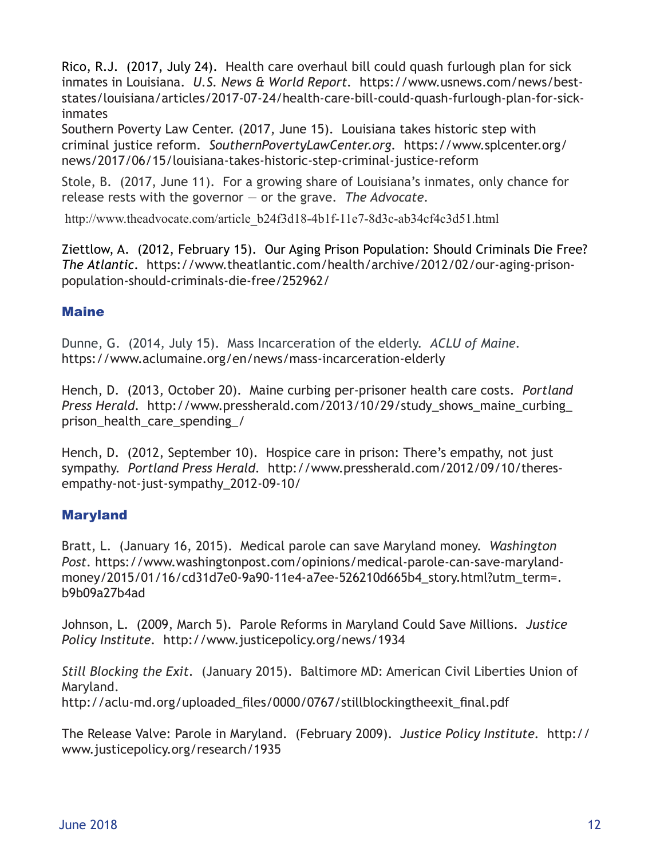Rico, R.J. (2017, July 24). Health care overhaul bill could quash furlough plan for sick inmates in Louisiana. *U.S. News & World Report.* https://www.usnews.com/news/beststates/louisiana/articles/2017-07-24/health-care-bill-could-quash-furlough-plan-for-sickinmates

Southern Poverty Law Center. (2017, June 15). Louisiana takes historic step with criminal justice reform. *SouthernPovertyLawCenter.org.* https://www.splcenter.org/ news/2017/06/15/louisiana-takes-historic-step-criminal-justice-reform

Stole, B. (2017, June 11). For a growing share of Louisiana's inmates, only chance for release rests with the governor — or the grave. *The Advocate.* 

http://www.theadvocate.com/article\_b24f3d18-4b1f-11e7-8d3c-ab34cf4c3d51.html

Ziettlow, A. (2012, February 15). Our Aging Prison Population: Should Criminals Die Free? *The Atlantic*. https://www.theatlantic.com/health/archive/2012/02/our-aging-prisonpopulation-should-criminals-die-free/252962/

# **Maine**

Dunne, G. (2014, July 15). Mass Incarceration of the elderly. *ACLU of Maine.*  https://www.aclumaine.org/en/news/mass-incarceration-elderly

Hench, D. (2013, October 20). Maine curbing per-prisoner health care costs. *Portland Press Herald.* http://www.pressherald.com/2013/10/29/study\_shows\_maine\_curbing\_ prison\_health\_care\_spending\_/

Hench, D. (2012, September 10). Hospice care in prison: There's empathy, not just sympathy. *Portland Press Herald.* http://www.pressherald.com/2012/09/10/theresempathy-not-just-sympathy\_2012-09-10/

# Maryland

Bratt, L. (January 16, 2015). Medical parole can save Maryland money. *Washington Post.* https://www.washingtonpost.com/opinions/medical-parole-can-save-marylandmoney/2015/01/16/cd31d7e0-9a90-11e4-a7ee-526210d665b4\_story.html?utm\_term=. b9b09a27b4ad

Johnson, L. (2009, March 5). Parole Reforms in Maryland Could Save Millions. *Justice Policy Institute.* http://www.justicepolicy.org/news/1934

*Still Blocking the Exit.* (January 2015). Baltimore MD: American Civil Liberties Union of Maryland. http://aclu-md.org/uploaded\_files/0000/0767/stillblockingtheexit\_final.pdf

The Release Valve: Parole in Maryland.(February 2009). *Justice Policy Institute.* http:// www.justicepolicy.org/research/1935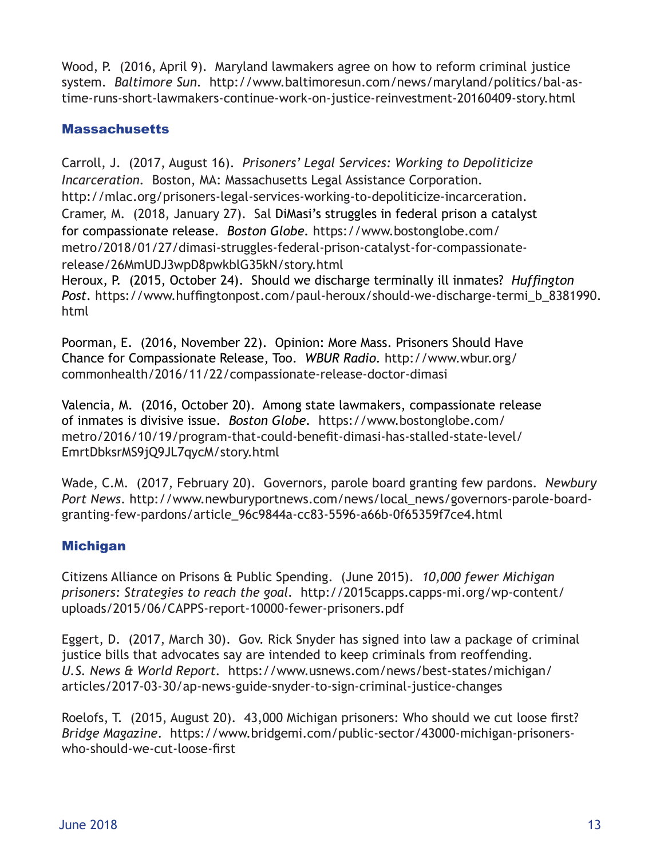Wood, P. (2016, April 9). Maryland lawmakers agree on how to reform criminal justice system. *Baltimore Sun.* http://www.baltimoresun.com/news/maryland/politics/bal-astime-runs-short-lawmakers-continue-work-on-justice-reinvestment-20160409-story.html

### **Massachusetts**

Carroll, J. (2017, August 16). *Prisoners' Legal Services: Working to Depoliticize Incarceration.* Boston, MA: Massachusetts Legal Assistance Corporation. http://mlac.org/prisoners-legal-services-working-to-depoliticize-incarceration. Cramer, M. (2018, January 27). Sal DiMasi's struggles in federal prison a catalyst for compassionate release. *Boston Globe.* https://www.bostonglobe.com/ metro/2018/01/27/dimasi-struggles-federal-prison-catalyst-for-compassionaterelease/26MmUDJ3wpD8pwkblG35kN/story.html Heroux, P. (2015, October 24). Should we discharge terminally ill inmates? *Huffington*  Post. https://www.huffingtonpost.com/paul-heroux/should-we-discharge-termi\_b\_8381990.

html

Poorman, E. (2016, November 22). Opinion: More Mass. Prisoners Should Have Chance for Compassionate Release, Too. *WBUR Radio.* http://www.wbur.org/ commonhealth/2016/11/22/compassionate-release-doctor-dimasi

Valencia, M. (2016, October 20). Among state lawmakers, compassionate release of inmates is divisive issue. *Boston Globe.* https://www.bostonglobe.com/ metro/2016/10/19/program-that-could-benefit-dimasi-has-stalled-state-level/ EmrtDbksrMS9jQ9JL7qycM/story.html

Wade, C.M. (2017, February 20). Governors, parole board granting few pardons. *Newbury Port News*. http://www.newburyportnews.com/news/local\_news/governors-parole-boardgranting-few-pardons/article\_96c9844a-cc83-5596-a66b-0f65359f7ce4.html

# Michigan

Citizens Alliance on Prisons & Public Spending. (June 2015). *10,000 fewer Michigan prisoners: Strategies to reach the goal.* http://2015capps.capps-mi.org/wp-content/ uploads/2015/06/CAPPS-report-10000-fewer-prisoners.pdf

Eggert, D. (2017, March 30). Gov. Rick Snyder has signed into law a package of criminal justice bills that advocates say are intended to keep criminals from reoffending. *U.S. News & World Report.* https://www.usnews.com/news/best-states/michigan/ articles/2017-03-30/ap-news-guide-snyder-to-sign-criminal-justice-changes

Roelofs, T. (2015, August 20). 43,000 Michigan prisoners: Who should we cut loose first? *Bridge Magazine*.https://www.bridgemi.com/public-sector/43000-michigan-prisonerswho-should-we-cut-loose-first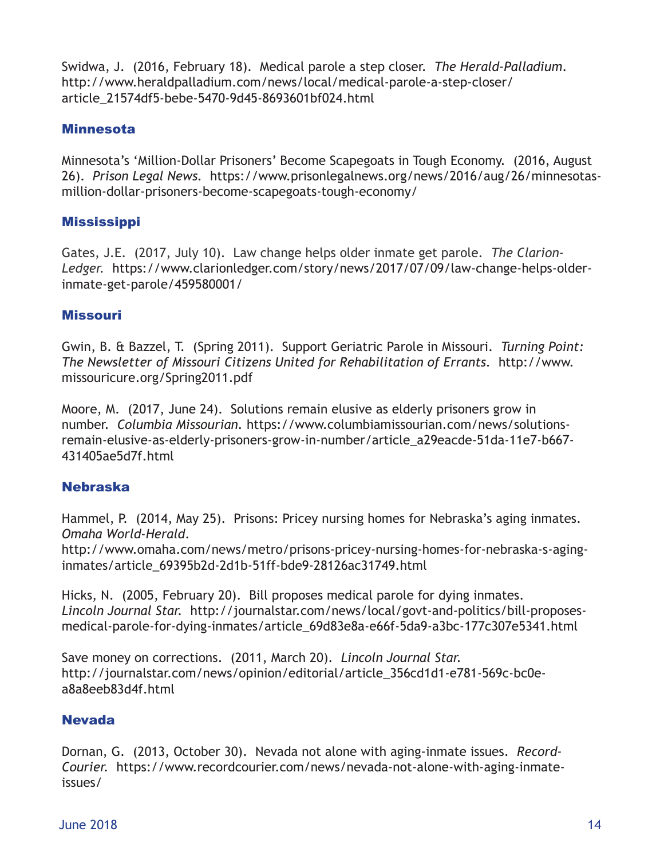Swidwa, J. (2016, February 18). Medical parole a step closer. *The Herald-Palladium*. http://www.heraldpalladium.com/news/local/medical-parole-a-step-closer/ article\_21574df5-bebe-5470-9d45-8693601bf024.html

# **Minnesota**

Minnesota's 'Million-Dollar Prisoners' Become Scapegoats in Tough Economy. (2016, August 26). *Prison Legal News.* https://www.prisonlegalnews.org/news/2016/aug/26/minnesotasmillion-dollar-prisoners-become-scapegoats-tough-economy/

#### **Mississippi**

Gates, J.E. (2017, July 10). Law change helps older inmate get parole. *The Clarion-Ledger.* https://www.clarionledger.com/story/news/2017/07/09/law-change-helps-olderinmate-get-parole/459580001/

#### Missouri

Gwin, B. & Bazzel, T. (Spring 2011). Support Geriatric Parole in Missouri. *Turning Point: The Newsletter of Missouri Citizens United for Rehabilitation of Errants.* http://www. missouricure.org/Spring2011.pdf

Moore, M. (2017, June 24). Solutions remain elusive as elderly prisoners grow in number. *Columbia Missourian.* https://www.columbiamissourian.com/news/solutionsremain-elusive-as-elderly-prisoners-grow-in-number/article\_a29eacde-51da-11e7-b667- 431405ae5d7f.html

# Nebraska

Hammel, P. (2014, May 25). Prisons: Pricey nursing homes for Nebraska's aging inmates. *Omaha World-Herald*.

http://www.omaha.com/news/metro/prisons-pricey-nursing-homes-for-nebraska-s-aginginmates/article\_69395b2d-2d1b-51ff-bde9-28126ac31749.html

Hicks, N. (2005, February 20). Bill proposes medical parole for dying inmates. *Lincoln Journal Star.* http://journalstar.com/news/local/govt-and-politics/bill-proposesmedical-parole-for-dying-inmates/article\_69d83e8a-e66f-5da9-a3bc-177c307e5341.html

Save money on corrections. (2011, March 20). *Lincoln Journal Star.* http://journalstar.com/news/opinion/editorial/article\_356cd1d1-e781-569c-bc0ea8a8eeb83d4f.html

# Nevada

Dornan, G. (2013, October 30). Nevada not alone with aging-inmate issues. *Record-Courier.* https://www.recordcourier.com/news/nevada-not-alone-with-aging-inmateissues/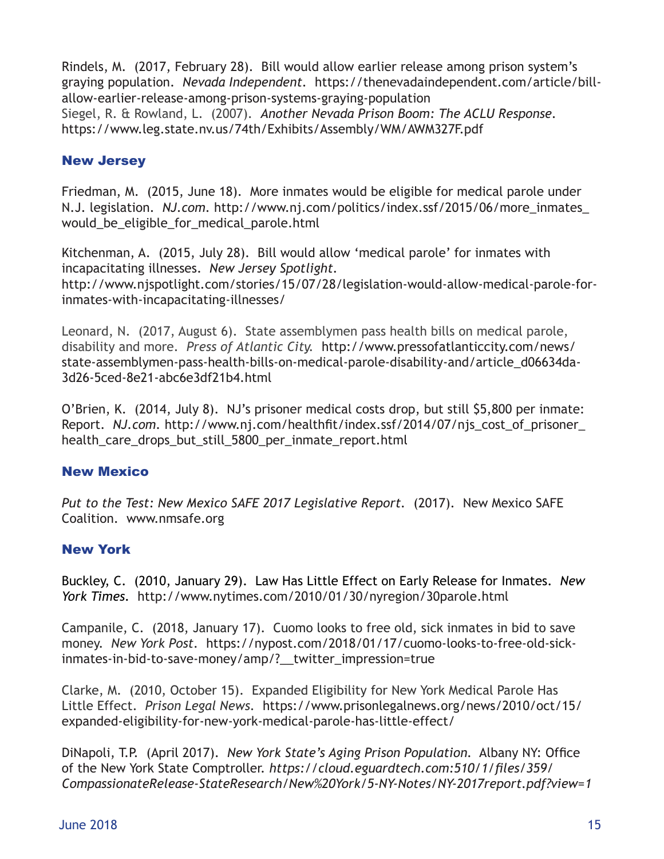Rindels, M. (2017, February 28). Bill would allow earlier release among prison system's graying population. *Nevada Independent.* https://thenevadaindependent.com/article/billallow-earlier-release-among-prison-systems-graying-population Siegel, R. & Rowland, L. (2007). *Another Nevada Prison Boom: The ACLU Response.*  https://www.leg.state.nv.us/74th/Exhibits/Assembly/WM/AWM327F.pdf

# New Jersey

Friedman, M. (2015, June 18). More inmates would be eligible for medical parole under N.J. legislation. *NJ.com.* http://www.nj.com/politics/index.ssf/2015/06/more\_inmates\_ would be eligible for medical parole.html

Kitchenman, A. (2015, July 28). Bill would allow 'medical parole' for inmates with incapacitating illnesses. *New Jersey Spotlight.*  http://www.njspotlight.com/stories/15/07/28/legislation-would-allow-medical-parole-forinmates-with-incapacitating-illnesses/

Leonard, N. (2017, August 6). State assemblymen pass health bills on medical parole, disability and more. *Press of Atlantic City.* http://www.pressofatlanticcity.com/news/ state-assemblymen-pass-health-bills-on-medical-parole-disability-and/article\_d06634da-3d26-5ced-8e21-abc6e3df21b4.html

O'Brien, K. (2014, July 8). NJ's prisoner medical costs drop, but still \$5,800 per inmate: Report. NJ.com. http://www.nj.com/healthfit/index.ssf/2014/07/njs\_cost\_of\_prisoner health\_care\_drops\_but\_still\_5800\_per\_inmate\_report.html

# New Mexico

*Put to the Test: New Mexico SAFE 2017 Legislative Report.* (2017). New Mexico SAFE Coalition. www.nmsafe.org

# New York

Buckley, C. (2010, January 29). Law Has Little Effect on Early Release for Inmates. *New York Times.* http://www.nytimes.com/2010/01/30/nyregion/30parole.html

Campanile, C. (2018, January 17). Cuomo looks to free old, sick inmates in bid to save money. *New York Post.* https://nypost.com/2018/01/17/cuomo-looks-to-free-old-sickinmates-in-bid-to-save-money/amp/?\_\_twitter\_impression=true

Clarke, M. (2010, October 15). Expanded Eligibility for New York Medical Parole Has Little Effect. *Prison Legal News.* https://www.prisonlegalnews.org/news/2010/oct/15/ expanded-eligibility-for-new-york-medical-parole-has-little-effect/

DiNapoli, T.P. (April 2017). *New York State's Aging Prison Population.* Albany NY: Office of the New York State Comptroller. *https://cloud.eguardtech.com:510/1/files/359/ CompassionateRelease-StateResearch/New%20York/5-NY-Notes/NY-2017report.pdf?view=1*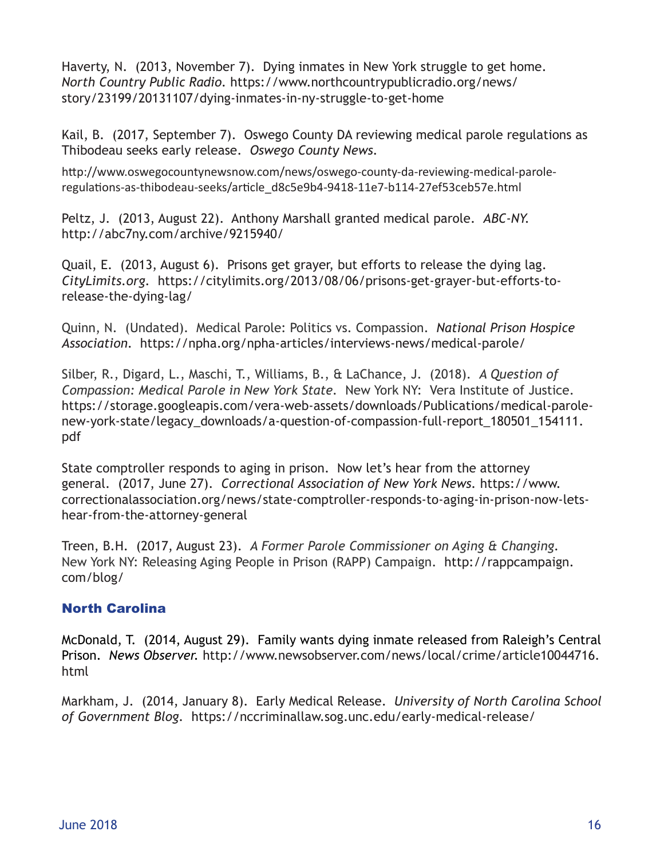Haverty, N. (2013, November 7). Dying inmates in New York struggle to get home. *North Country Public Radio.* https://www.northcountrypublicradio.org/news/ story/23199/20131107/dying-inmates-in-ny-struggle-to-get-home

Kail, B. (2017, September 7). Oswego County DA reviewing medical parole regulations as Thibodeau seeks early release. *Oswego County News.* 

http://www.oswegocountynewsnow.com/news/oswego-county-da-reviewing-medical-paroleregulations-as-thibodeau-seeks/article\_d8c5e9b4-9418-11e7-b114-27ef53ceb57e.html

Peltz, J. (2013, August 22). Anthony Marshall granted medical parole. *ABC-NY.*  http://abc7ny.com/archive/9215940/

Quail, E. (2013, August 6). Prisons get grayer, but efforts to release the dying lag. *CityLimits.org.* https://citylimits.org/2013/08/06/prisons-get-grayer-but-efforts-torelease-the-dying-lag/

Quinn, N. (Undated). Medical Parole: Politics vs. Compassion. *National Prison Hospice Association*. https://npha.org/npha-articles/interviews-news/medical-parole/

Silber, R., Digard, L., Maschi, T., Williams, B., & LaChance, J. (2018). *A Question of Compassion: Medical Parole in New York State.* New York NY: Vera Institute of Justice. https://storage.googleapis.com/vera-web-assets/downloads/Publications/medical-parolenew-york-state/legacy\_downloads/a-question-of-compassion-full-report\_180501\_154111. pdf

State comptroller responds to aging in prison. Now let's hear from the attorney general. (2017, June 27). *Correctional Association of New York News.* https://www. correctionalassociation.org/news/state-comptroller-responds-to-aging-in-prison-now-letshear-from-the-attorney-general

Treen, B.H. (2017, August 23). *A Former Parole Commissioner on Aging & Changing.*  New York NY: Releasing Aging People in Prison (RAPP) Campaign. http://rappcampaign. com/blog/

# North Carolina

McDonald, T. (2014, August 29). Family wants dying inmate released from Raleigh's Central Prison. *News Observer.* http://www.newsobserver.com/news/local/crime/article10044716. html

Markham, J. (2014, January 8). Early Medical Release. *University of North Carolina School of Government Blog.* https://nccriminallaw.sog.unc.edu/early-medical-release/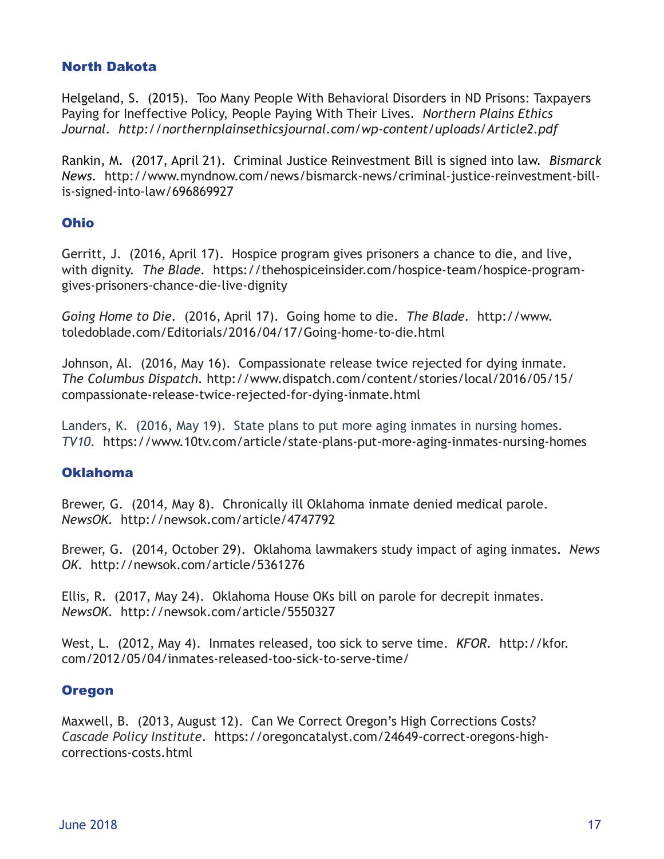# North Dakota

Helgeland, S.(2015). Too Many People With Behavioral Disorders in ND Prisons: Taxpayers Paying for Ineffective Policy, People Paying With Their Lives. *Northern Plains Ethics Journal. http://northernplainsethicsjournal.com/wp-content/uploads/Article2.pdf*

Rankin, M. (2017, April 21). Criminal Justice Reinvestment Bill is signed into law. *Bismarck News.* http://www.myndnow.com/news/bismarck-news/criminal-justice-reinvestment-billis-signed-into-law/696869927

# Ohio

Gerritt, J. (2016, April 17). Hospice program gives prisoners a chance to die, and live, with dignity. *The Blade.* https://thehospiceinsider.com/hospice-team/hospice-programgives-prisoners-chance-die-live-dignity

*Going Home to Die.* (2016, April 17). Going home to die. *The Blade.* http://www. toledoblade.com/Editorials/2016/04/17/Going-home-to-die.html

Johnson, Al. (2016, May 16). Compassionate release twice rejected for dying inmate. *The Columbus Dispatch.* http://www.dispatch.com/content/stories/local/2016/05/15/ compassionate-release-twice-rejected-for-dying-inmate.html

Landers, K. (2016, May 19). State plans to put more aging inmates in nursing homes. *TV10.* https://www.10tv.com/article/state-plans-put-more-aging-inmates-nursing-homes

# Oklahoma

Brewer, G. (2014, May 8). Chronically ill Oklahoma inmate denied medical parole. *NewsOK.* http://newsok.com/article/4747792

Brewer, G. (2014, October 29). Oklahoma lawmakers study impact of aging inmates. *News OK.* http://newsok.com/article/5361276

Ellis, R. (2017, May 24). Oklahoma House OKs bill on parole for decrepit inmates. *NewsOK.* http://newsok.com/article/5550327

West, L. (2012, May 4). Inmates released, too sick to serve time. *KFOR.* http://kfor. com/2012/05/04/inmates-released-too-sick-to-serve-time/

# **Oregon**

Maxwell, B. (2013, August 12). Can We Correct Oregon's High Corrections Costs? *Cascade Policy Institute*. https://oregoncatalyst.com/24649-correct-oregons-highcorrections-costs.html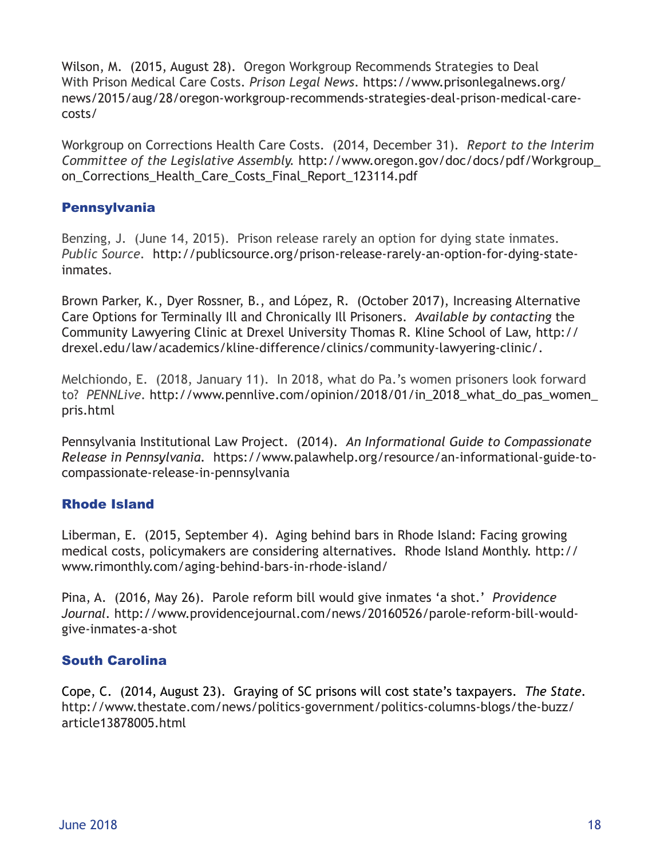Wilson, M. (2015, August 28). Oregon Workgroup Recommends Strategies to Deal With Prison Medical Care Costs. *Prison Legal News*. https://www.prisonlegalnews.org/ news/2015/aug/28/oregon-workgroup-recommends-strategies-deal-prison-medical-carecosts/

Workgroup on Corrections Health Care Costs. (2014, December 31). *Report to the Interim Committee of the Legislative Assembly.* http://www.oregon.gov/doc/docs/pdf/Workgroup\_ on Corrections Health Care Costs Final Report 123114.pdf

# **Pennsylvania**

Benzing, J. (June 14, 2015). Prison release rarely an option for dying state inmates. *Public Source.* http://publicsource.org/prison-release-rarely-an-option-for-dying-stateinmates.

Brown Parker, K., Dyer Rossner, B., and López, R. (October 2017), Increasing Alternative Care Options for Terminally Ill and Chronically Ill Prisoners. *Available by contacting* the Community Lawyering Clinic at Drexel University Thomas R. Kline School of Law, http:// drexel.edu/law/academics/kline-difference/clinics/community-lawyering-clinic/.

Melchiondo, E. (2018, January 11). In 2018, what do Pa.'s women prisoners look forward to? *PENNLive.* http://www.pennlive.com/opinion/2018/01/in\_2018\_what\_do\_pas\_women\_ pris.html

Pennsylvania Institutional Law Project. (2014). *An Informational Guide to Compassionate Release in Pennsylvania.* https://www.palawhelp.org/resource/an-informational-guide-tocompassionate-release-in-pennsylvania

# Rhode Island

Liberman, E. (2015, September 4). Aging behind bars in Rhode Island: Facing growing medical costs, policymakers are considering alternatives. Rhode Island Monthly. http:// www.rimonthly.com/aging-behind-bars-in-rhode-island/

Pina, A. (2016, May 26). Parole reform bill would give inmates 'a shot.' *Providence Journal.* http://www.providencejournal.com/news/20160526/parole-reform-bill-wouldgive-inmates-a-shot

# South Carolina

Cope, C. (2014, August 23). Graying of SC prisons will cost state's taxpayers. *The State.*  http://www.thestate.com/news/politics-government/politics-columns-blogs/the-buzz/ article13878005.html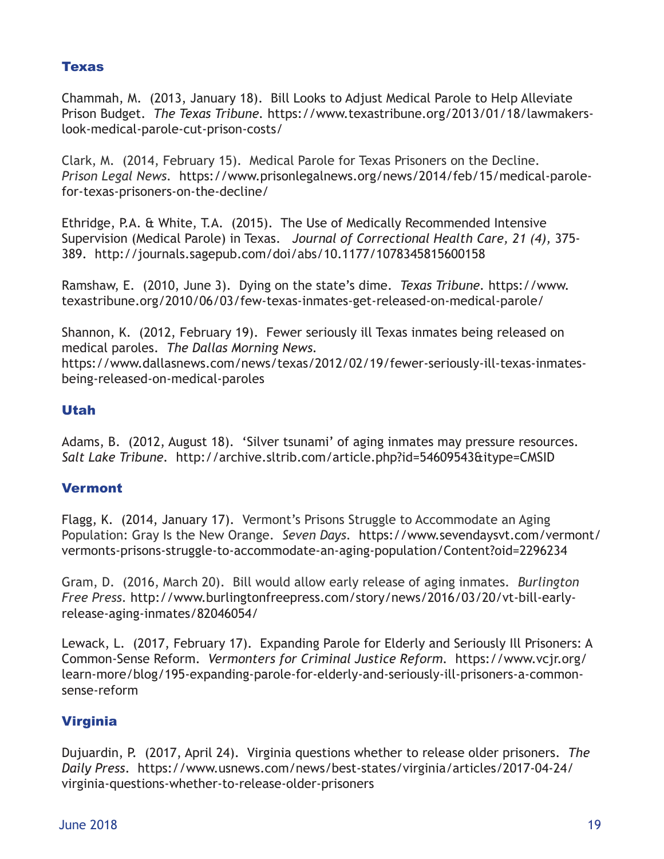# Texas

Chammah, M. (2013, January 18). Bill Looks to Adjust Medical Parole to Help Alleviate Prison Budget. *The Texas Tribune.* https://www.texastribune.org/2013/01/18/lawmakerslook-medical-parole-cut-prison-costs/

Clark, M. (2014, February 15). Medical Parole for Texas Prisoners on the Decline. *Prison Legal News.* https://www.prisonlegalnews.org/news/2014/feb/15/medical-parolefor-texas-prisoners-on-the-decline/

Ethridge, P.A. & White, T.A. (2015). The Use of Medically Recommended Intensive Supervision (Medical Parole) in Texas. *Journal of Correctional Health Care, 21 (4),* 375- 389. http://journals.sagepub.com/doi/abs/10.1177/1078345815600158

Ramshaw, E. (2010, June 3). Dying on the state's dime. *Texas Tribune.* https://www. texastribune.org/2010/06/03/few-texas-inmates-get-released-on-medical-parole/

Shannon, K. (2012, February 19). Fewer seriously ill Texas inmates being released on medical paroles. *The Dallas Morning News.*  https://www.dallasnews.com/news/texas/2012/02/19/fewer-seriously-ill-texas-inmatesbeing-released-on-medical-paroles

# Utah

Adams, B. (2012, August 18). 'Silver tsunami' of aging inmates may pressure resources. *Salt Lake Tribune.* http://archive.sltrib.com/article.php?id=54609543&itype=CMSID

# **Vermont**

Flagg, K. (2014, January 17). Vermont's Prisons Struggle to Accommodate an Aging Population: Gray Is the New Orange. *Seven Days.* https://www.sevendaysvt.com/vermont/ vermonts-prisons-struggle-to-accommodate-an-aging-population/Content?oid=2296234

Gram, D. (2016, March 20). Bill would allow early release of aging inmates. *Burlington Free Press.* http://www.burlingtonfreepress.com/story/news/2016/03/20/vt-bill-earlyrelease-aging-inmates/82046054/

Lewack, L. (2017, February 17). Expanding Parole for Elderly and Seriously Ill Prisoners: A Common-Sense Reform. *Vermonters for Criminal Justice Reform.* https://www.vcjr.org/ learn-more/blog/195-expanding-parole-for-elderly-and-seriously-ill-prisoners-a-commonsense-reform

# Virginia

Dujuardin, P. (2017, April 24). Virginia questions whether to release older prisoners. *The Daily Press*. https://www.usnews.com/news/best-states/virginia/articles/2017-04-24/ virginia-questions-whether-to-release-older-prisoners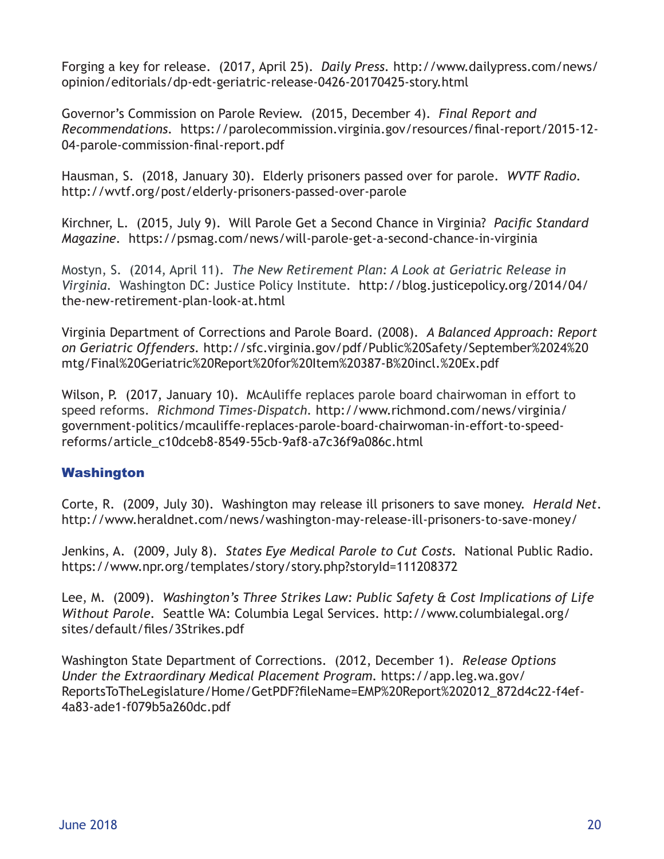Forging a key for release. (2017, April 25). *Daily Press.* http://www.dailypress.com/news/ opinion/editorials/dp-edt-geriatric-release-0426-20170425-story.html

Governor's Commission on Parole Review. (2015, December 4). *Final Report and Recommendations.* https://parolecommission.virginia.gov/resources/final-report/2015-12- 04-parole-commission-final-report.pdf

Hausman, S. (2018, January 30). Elderly prisoners passed over for parole. *WVTF Radio.*  http://wvtf.org/post/elderly-prisoners-passed-over-parole

Kirchner, L. (2015, July 9). Will Parole Get a Second Chance in Virginia? *Pacific Standard Magazine.* https://psmag.com/news/will-parole-get-a-second-chance-in-virginia

Mostyn, S. (2014, April 11). *The New Retirement Plan: A Look at Geriatric Release in Virginia.* Washington DC: Justice Policy Institute. http://blog.justicepolicy.org/2014/04/ the-new-retirement-plan-look-at.html

Virginia Department of Corrections and Parole Board. (2008). *A Balanced Approach: Report on Geriatric Offenders.* http://sfc.virginia.gov/pdf/Public%20Safety/September%2024%20 mtg/Final%20Geriatric%20Report%20for%20Item%20387-B%20incl.%20Ex.pdf

Wilson, P. (2017, January 10). McAuliffe replaces parole board chairwoman in effort to speed reforms. *Richmond Times-Dispatch.* http://www.richmond.com/news/virginia/ government-politics/mcauliffe-replaces-parole-board-chairwoman-in-effort-to-speedreforms/article\_c10dceb8-8549-55cb-9af8-a7c36f9a086c.html

# Washington

Corte, R. (2009, July 30). Washington may release ill prisoners to save money. *Herald Net*. http://www.heraldnet.com/news/washington-may-release-ill-prisoners-to-save-money/

Jenkins, A. (2009, July 8). *States Eye Medical Parole to Cut Costs.* National Public Radio. https://www.npr.org/templates/story/story.php?storyId=111208372

Lee, M. (2009). *Washington's Three Strikes Law: Public Safety & Cost Implications of Life Without Parole.* Seattle WA: Columbia Legal Services. http://www.columbialegal.org/ sites/default/files/3Strikes.pdf

Washington State Department of Corrections. (2012, December 1). *Release Options Under the Extraordinary Medical Placement Program.* https://app.leg.wa.gov/ ReportsToTheLegislature/Home/GetPDF?fileName=EMP%20Report%202012\_872d4c22-f4ef-4a83-ade1-f079b5a260dc.pdf